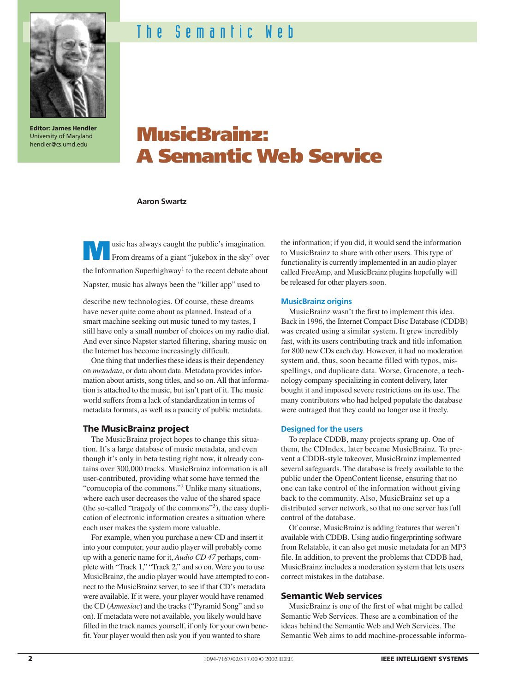

**Editor: James Hendler** University of Maryland hendler@cs.umd.edu

# The Semantic Web

# **MusicBrainz: A Semantic Web Service**

### **Aaron Swartz**

**Music has always caught the public's imagination.**<br>From dreams of a giant "jukebox in the sky" over the Information Superhighway<sup>1</sup> to the recent debate about Napster, music has always been the "killer app" used to

describe new technologies. Of course, these dreams have never quite come about as planned. Instead of a smart machine seeking out music tuned to my tastes, I still have only a small number of choices on my radio dial. And ever since Napster started filtering, sharing music on the Internet has become increasingly difficult.

One thing that underlies these ideas is their dependency on *metadata*, or data about data. Metadata provides information about artists, song titles, and so on. All that information is attached to the music, but isn't part of it. The music world suffers from a lack of standardization in terms of metadata formats, as well as a paucity of public metadata.

#### **The MusicBrainz project**

The MusicBrainz project hopes to change this situation. It's a large database of music metadata, and even though it's only in beta testing right now, it already contains over 300,000 tracks. MusicBrainz information is all user-contributed, providing what some have termed the "cornucopia of the commons."<sup>2</sup> Unlike many situations, where each user decreases the value of the shared space (the so-called "tragedy of the commons"3), the easy duplication of electronic information creates a situation where each user makes the system more valuable.

For example, when you purchase a new CD and insert it into your computer, your audio player will probably come up with a generic name for it, *Audio CD 47* perhaps, complete with "Track 1," "Track 2," and so on. Were you to use MusicBrainz, the audio player would have attempted to connect to the MusicBrainz server, to see if that CD's metadata were available. If it were, your player would have renamed the CD (*Amnesiac*) and the tracks ("Pyramid Song" and so on). If metadata were not available, you likely would have filled in the track names yourself, if only for your own benefit. Your player would then ask you if you wanted to share

the information; if you did, it would send the information to MusicBrainz to share with other users. This type of functionality is currently implemented in an audio player called FreeAmp, and MusicBrainz plugins hopefully will be released for other players soon.

#### **MusicBrainz origins**

MusicBrainz wasn't the first to implement this idea. Back in 1996, the Internet Compact Disc Database (CDDB) was created using a similar system. It grew incredibly fast, with its users contributing track and title infomation for 800 new CDs each day. However, it had no moderation system and, thus, soon became filled with typos, misspellings, and duplicate data. Worse, Gracenote, a technology company specializing in content delivery, later bought it and imposed severe restrictions on its use. The many contributors who had helped populate the database were outraged that they could no longer use it freely.

#### **Designed for the users**

To replace CDDB, many projects sprang up. One of them, the CDIndex, later became MusicBrainz. To prevent a CDDB-style takeover, MusicBrainz implemented several safeguards. The database is freely available to the public under the OpenContent license, ensuring that no one can take control of the information without giving back to the community. Also, MusicBrainz set up a distributed server network, so that no one server has full control of the database.

Of course, MusicBrainz is adding features that weren't available with CDDB. Using audio fingerprinting software from Relatable, it can also get music metadata for an MP3 file. In addition, to prevent the problems that CDDB had, MusicBrainz includes a moderation system that lets users correct mistakes in the database.

## **Semantic Web services**

MusicBrainz is one of the first of what might be called Semantic Web Services. These are a combination of the ideas behind the Semantic Web and Web Services. The Semantic Web aims to add machine-processable informa